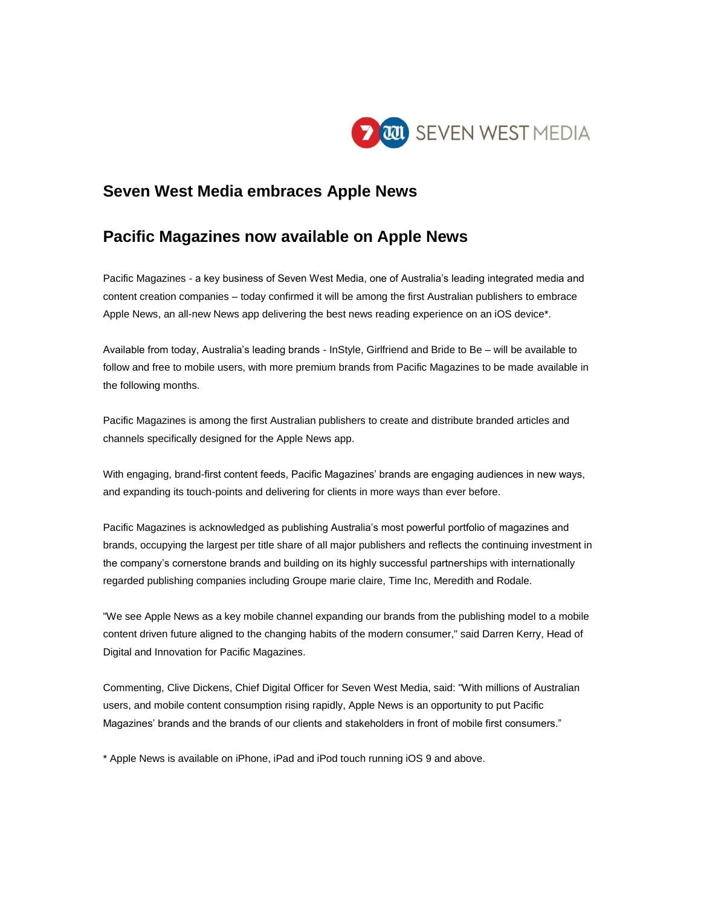

## **Seven West Media embraces Apple News**

## **Pacific Magazines now available on Apple News**

Pacific Magazines - a key business of Seven West Media, one of Australia's leading integrated media and content creation companies – today confirmed it will be among the first Australian publishers to embrace Apple News, an all-new News app delivering the best news reading experience on an iOS device\*.

Available from today, Australia's leading brands - InStyle, Girlfriend and Bride to Be – will be available to follow and free to mobile users, with more premium brands from Pacific Magazines to be made available in the following months.

Pacific Magazines is among the first Australian publishers to create and distribute branded articles and channels specifically designed for the Apple News app.

With engaging, brand-first content feeds, Pacific Magazines' brands are engaging audiences in new ways, and expanding its touch-points and delivering for clients in more ways than ever before.

Pacific Magazines is acknowledged as publishing Australia's most powerful portfolio of magazines and brands, occupying the largest per title share of all major publishers and reflects the continuing investment in the company's cornerstone brands and building on its highly successful partnerships with internationally regarded publishing companies including Groupe marie claire, Time Inc, Meredith and Rodale.

"We see Apple News as a key mobile channel expanding our brands from the publishing model to a mobile content driven future aligned to the changing habits of the modern consumer," said Darren Kerry, Head of Digital and Innovation for Pacific Magazines.

Commenting, Clive Dickens, Chief Digital Officer for Seven West Media, said: "With millions of Australian users, and mobile content consumption rising rapidly, Apple News is an opportunity to put Pacific Magazines' brands and the brands of our clients and stakeholders in front of mobile first consumers."

\* Apple News is available on iPhone, iPad and iPod touch running iOS 9 and above.